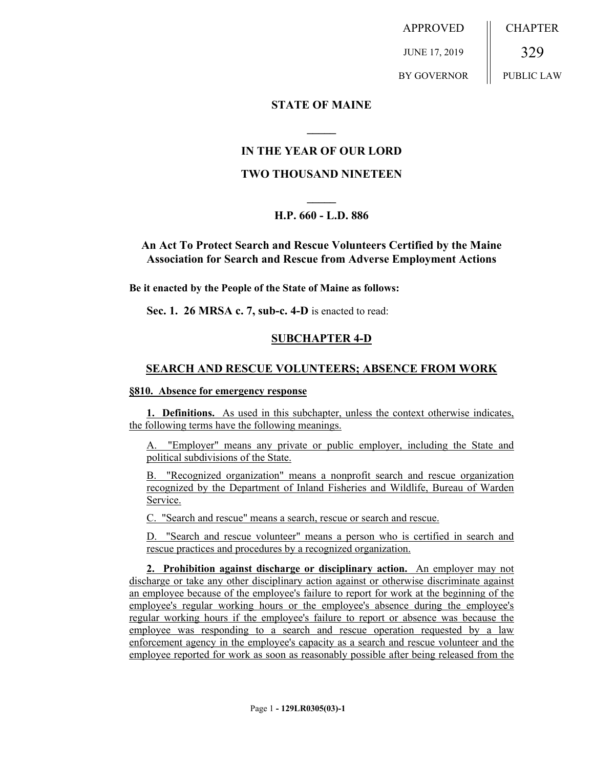APPROVED JUNE 17, 2019 BY GOVERNOR CHAPTER 329 PUBLIC LAW

## **STATE OF MAINE**

## **IN THE YEAR OF OUR LORD**

**\_\_\_\_\_**

#### **TWO THOUSAND NINETEEN**

# **\_\_\_\_\_ H.P. 660 - L.D. 886**

## **An Act To Protect Search and Rescue Volunteers Certified by the Maine Association for Search and Rescue from Adverse Employment Actions**

**Be it enacted by the People of the State of Maine as follows:**

**Sec. 1. 26 MRSA c. 7, sub-c. 4-D** is enacted to read:

#### **SUBCHAPTER 4-D**

#### **SEARCH AND RESCUE VOLUNTEERS; ABSENCE FROM WORK**

#### **§810. Absence for emergency response**

**1. Definitions.** As used in this subchapter, unless the context otherwise indicates, the following terms have the following meanings.

"Employer" means any private or public employer, including the State and political subdivisions of the State.

B. "Recognized organization" means a nonprofit search and rescue organization recognized by the Department of Inland Fisheries and Wildlife, Bureau of Warden Service.

C. "Search and rescue" means a search, rescue or search and rescue.

D. "Search and rescue volunteer" means a person who is certified in search and rescue practices and procedures by a recognized organization.

**2. Prohibition against discharge or disciplinary action.** An employer may not discharge or take any other disciplinary action against or otherwise discriminate against an employee because of the employee's failure to report for work at the beginning of the employee's regular working hours or the employee's absence during the employee's regular working hours if the employee's failure to report or absence was because the employee was responding to a search and rescue operation requested by a law enforcement agency in the employee's capacity as a search and rescue volunteer and the employee reported for work as soon as reasonably possible after being released from the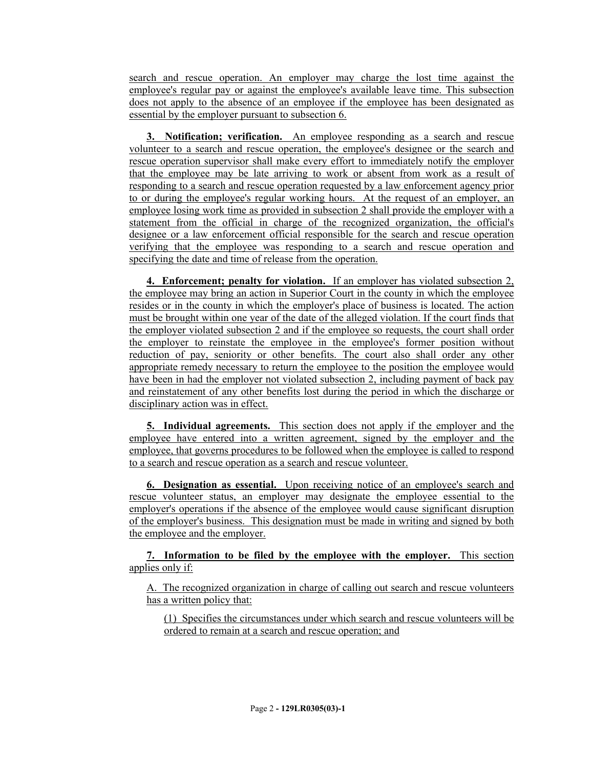search and rescue operation. An employer may charge the lost time against the employee's regular pay or against the employee's available leave time. This subsection does not apply to the absence of an employee if the employee has been designated as essential by the employer pursuant to subsection 6.

**3. Notification; verification.** An employee responding as a search and rescue volunteer to a search and rescue operation, the employee's designee or the search and rescue operation supervisor shall make every effort to immediately notify the employer that the employee may be late arriving to work or absent from work as a result of responding to a search and rescue operation requested by a law enforcement agency prior to or during the employee's regular working hours. At the request of an employer, an employee losing work time as provided in subsection 2 shall provide the employer with a statement from the official in charge of the recognized organization, the official's designee or a law enforcement official responsible for the search and rescue operation verifying that the employee was responding to a search and rescue operation and specifying the date and time of release from the operation.

**4. Enforcement; penalty for violation.** If an employer has violated subsection 2, the employee may bring an action in Superior Court in the county in which the employee resides or in the county in which the employer's place of business is located. The action must be brought within one year of the date of the alleged violation. If the court finds that the employer violated subsection 2 and if the employee so requests, the court shall order the employer to reinstate the employee in the employee's former position without reduction of pay, seniority or other benefits. The court also shall order any other appropriate remedy necessary to return the employee to the position the employee would have been in had the employer not violated subsection 2, including payment of back pay and reinstatement of any other benefits lost during the period in which the discharge or disciplinary action was in effect.

**5. Individual agreements.** This section does not apply if the employer and the employee have entered into a written agreement, signed by the employer and the employee, that governs procedures to be followed when the employee is called to respond to a search and rescue operation as a search and rescue volunteer.

**6. Designation as essential.** Upon receiving notice of an employee's search and rescue volunteer status, an employer may designate the employee essential to the employer's operations if the absence of the employee would cause significant disruption of the employer's business. This designation must be made in writing and signed by both the employee and the employer.

**7. Information to be filed by the employee with the employer.** This section applies only if:

A. The recognized organization in charge of calling out search and rescue volunteers has a written policy that:

(1) Specifies the circumstances under which search and rescue volunteers will be ordered to remain at a search and rescue operation; and